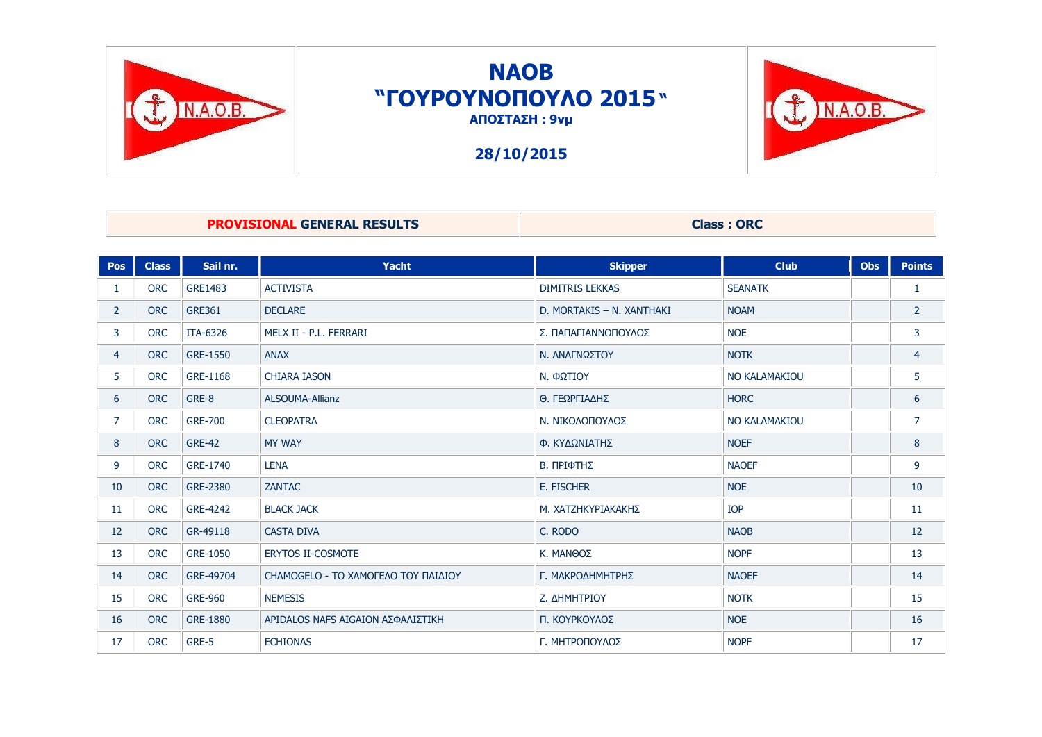

## **NAOB "ΓΟΤΡΟΤΝΟΠΟΤΛΟ 2015" ΑΠΟΣΤΑΣΗ : 9νμ**

**28/10/2015**



### **PROVISIONAL GENERAL RESULTS** Class : ORC

| <b>Pos</b>     | <b>Class</b> | Sail nr.        | Yacht                               | <b>Skipper</b>            | <b>Club</b>    | <b>Obs</b> | <b>Points</b>  |
|----------------|--------------|-----------------|-------------------------------------|---------------------------|----------------|------------|----------------|
| 1              | <b>ORC</b>   | <b>GRE1483</b>  | <b>ACTIVISTA</b>                    | <b>DIMITRIS LEKKAS</b>    | <b>SEANATK</b> |            | $\mathbf{1}$   |
| $\overline{2}$ | <b>ORC</b>   | <b>GRE361</b>   | <b>DECLARE</b>                      | D. MORTAKIS - N. XANTHAKI | <b>NOAM</b>    |            | $\overline{2}$ |
| 3              | <b>ORC</b>   | ITA-6326        | MELX II - P.L. FERRARI              | Σ. ΠΑΠΑΓΙΑΝΝΟΠΟΥΛΟΣ       | <b>NOE</b>     |            | 3              |
| $\overline{4}$ | <b>ORC</b>   | <b>GRE-1550</b> | <b>ANAX</b>                         | Ν. ΑΝΑΓΝΩΣΤΟΥ             | <b>NOTK</b>    |            | $\overline{4}$ |
| 5              | <b>ORC</b>   | GRE-1168        | <b>CHIARA IASON</b>                 | Ν. ΦΩΤΙΟΥ                 | NO KALAMAKIOU  |            | 5              |
| 6              | <b>ORC</b>   | GRE-8           | ALSOUMA-Allianz                     | Θ. ΓΕΩΡΓΙΑΔΗΣ             | <b>HORC</b>    |            | 6              |
| $\overline{7}$ | <b>ORC</b>   | <b>GRE-700</b>  | <b>CLEOPATRA</b>                    | Ν. ΝΙΚΟΛΟΠΟΥΛΟΣ           | NO KALAMAKIOU  |            | $\overline{7}$ |
| 8              | <b>ORC</b>   | <b>GRE-42</b>   | <b>MY WAY</b>                       | Φ. ΚΥΔΩΝΙΑΤΗΣ             | <b>NOEF</b>    |            | 8              |
| 9              | <b>ORC</b>   | GRE-1740        | <b>LENA</b>                         | Β. ΠΡΙΦΤΗΣ                | <b>NAOEF</b>   |            | 9              |
| 10             | <b>ORC</b>   | GRE-2380        | <b>ZANTAC</b>                       | <b>E. FISCHER</b>         | <b>NOE</b>     |            | 10             |
| 11             | <b>ORC</b>   | GRE-4242        | <b>BLACK JACK</b>                   | Μ. ΧΑΤΖΗΚΥΡΙΑΚΑΚΗΣ        | <b>IOP</b>     |            | 11             |
| 12             | <b>ORC</b>   | GR-49118        | <b>CASTA DIVA</b>                   | C. RODO                   | <b>NAOB</b>    |            | 12             |
| 13             | <b>ORC</b>   | GRE-1050        | <b>ERYTOS II-COSMOTE</b>            | Κ. ΜΑΝΘΟΣ                 | <b>NOPF</b>    |            | 13             |
| 14             | <b>ORC</b>   | GRE-49704       | CHAMOGELO - ΤΟ ΧΑΜΟΓΕΛΟ ΤΟΥ ΠΑΙΔΙΟΥ | Γ. ΜΑΚΡΟΔΗΜΗΤΡΗΣ          | <b>NAOEF</b>   |            | 14             |
| 15             | <b>ORC</b>   | <b>GRE-960</b>  | <b>NEMESIS</b>                      | Ζ. ΔΗΜΗΤΡΙΟΥ              | <b>NOTK</b>    |            | 15             |
| 16             | <b>ORC</b>   | GRE-1880        | ΑΡΙDALOS NAFS AIGAION ΑΣΦΑΛΙΣΤΙΚΗ   | Π. ΚΟΥΡΚΟΥΛΟΣ             | <b>NOE</b>     |            | 16             |
| 17             | <b>ORC</b>   | GRE-5           | <b>ECHIONAS</b>                     | Γ. ΜΗΤΡΟΠΟΥΛΟΣ            | <b>NOPF</b>    |            | 17             |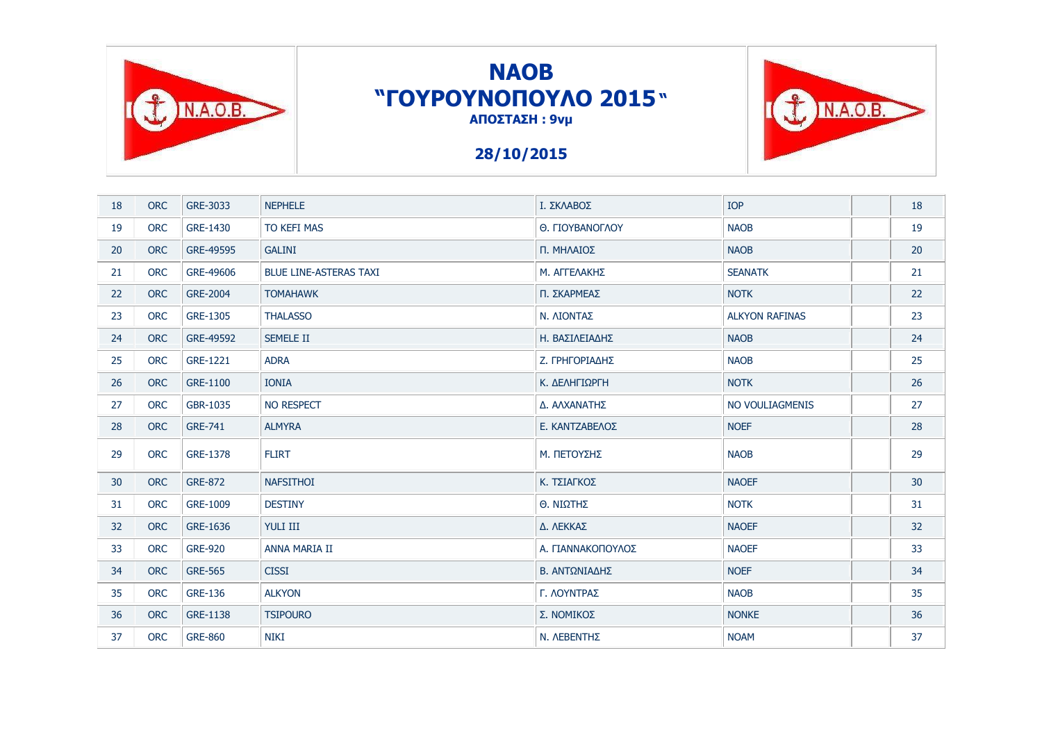

# **NAOB "ΓΟΤΡΟΤΝΟΠΟΤΛΟ 2015" ΑΠΟΣΤΑΣΗ: 9νμ**

T INAOB.

### **28/10/2015**

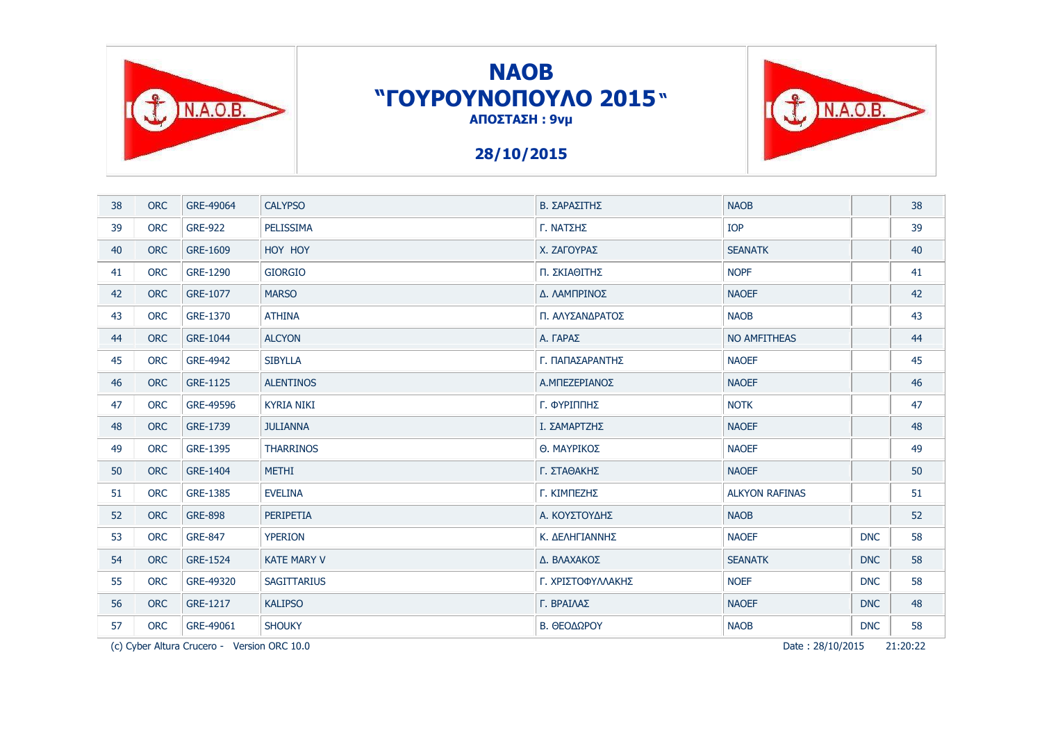

# **NAOB "ΓΟΤΡΟΤΝΟΠΟΤΛΟ 2015" ΑΠΟΣΤΑΣΗ: 9νμ**

### **28/10/2015**



(c) Cyber Altura Crucero - Version ORC 10.0 PFIT-30:22 PAGE 28/10/2015 21:20:22

TINAOB.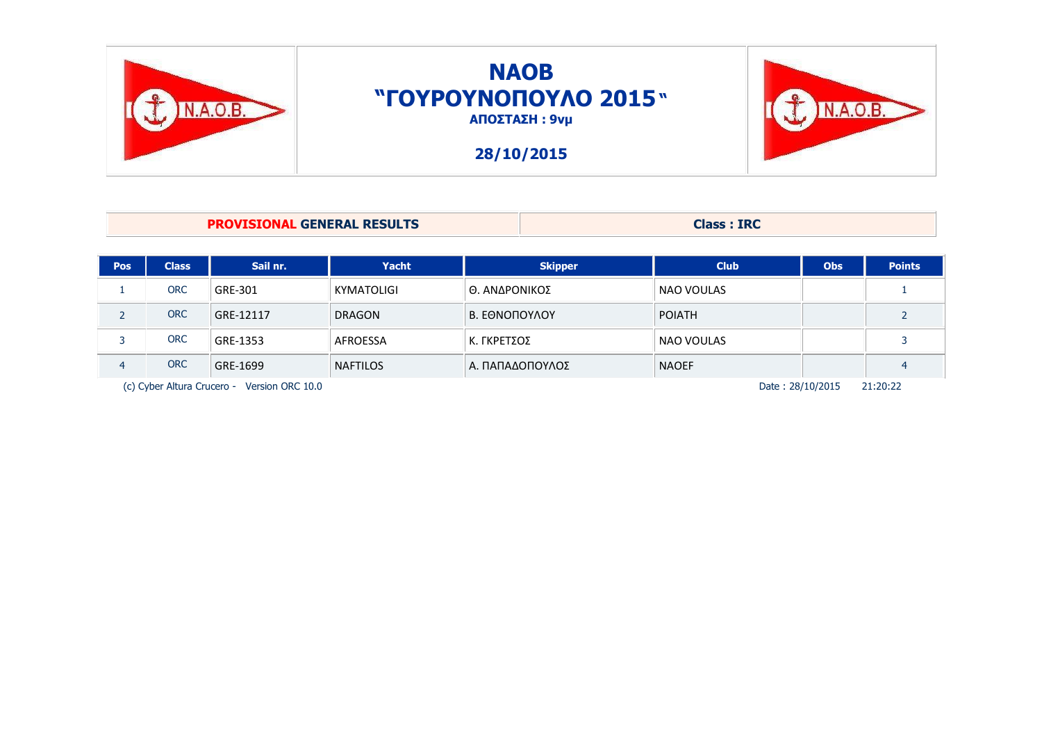

| <b>PROVISIONAL GENERAL RESULTS</b> |              |           |               |                | <b>Class: IRC</b> |            |               |  |  |
|------------------------------------|--------------|-----------|---------------|----------------|-------------------|------------|---------------|--|--|
|                                    |              |           |               |                |                   |            |               |  |  |
| <b>Pos</b>                         | <b>Class</b> | Sail nr.  | Yacht         | <b>Skipper</b> | <b>Club</b>       | <b>Obs</b> | <b>Points</b> |  |  |
|                                    | <b>ORC</b>   | GRE-301   | KYMATOLIGI    | Θ. ΑΝΔΡΟΝΙΚΟΣ  | <b>NAO VOULAS</b> |            |               |  |  |
|                                    | <b>ORC</b>   | GRE-12117 | <b>DRAGON</b> | Β. ΕΘΝΟΠΟΥΛΟΥ  | <b>POIATH</b>     |            |               |  |  |

3 ORC GRE-1353 | AFROESSA | Κ. ΓΚΡΕΤΣΟΣ | ΝAO VOULAS | | | 3 4 ORC GRE-1699 NAFTILOS Α. ΠΑΠΑΔΟΠΟΥΛΟΣ ΝΑΟΕF 1 1 4 (c) Cyber Altura Crucero - Version ORC 10.0 PFIT-1000 PAG and Crucero - Crucero - Version ORC 10.0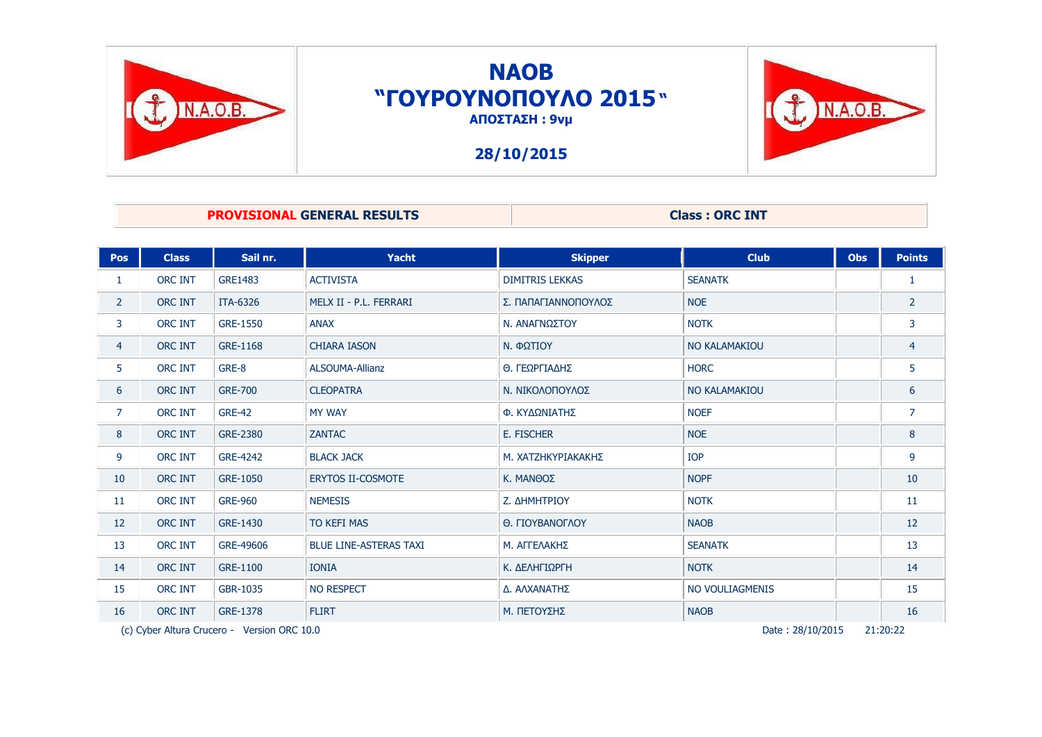

## **NAOB "ΓΟΤΡΟΤΝΟΠΟΤΛΟ 2015" ΑΠΟΣΤΑΣΗ : 9νμ**



### **28/10/2015**

### **PROVISIONAL GENERAL RESULTS Class : ORC INT**

| <b>Pos</b>        | <b>Class</b>                                                                | Sail nr.        | Yacht                         | <b>Skipper</b>         | <b>Club</b>          | <b>Obs</b> | <b>Points</b>  |
|-------------------|-----------------------------------------------------------------------------|-----------------|-------------------------------|------------------------|----------------------|------------|----------------|
| 1                 | <b>ORC INT</b>                                                              | <b>GRE1483</b>  | <b>ACTIVISTA</b>              | <b>DIMITRIS LEKKAS</b> | <b>SEANATK</b>       |            | 1              |
| $\mathbf{2}$      | <b>ORC INT</b>                                                              | <b>ITA-6326</b> | MELX II - P.L. FERRARI        | Σ. ΠΑΠΑΓΙΑΝΝΟΠΟΥΛΟΣ    | <b>NOE</b>           |            | $\overline{2}$ |
| 3                 | <b>ORC INT</b>                                                              | GRE-1550        | <b>ANAX</b>                   | Ν. ΑΝΑΓΝΩΣΤΟΥ          | <b>NOTK</b>          |            | 3              |
| $\overline{4}$    | <b>ORC INT</b>                                                              | GRE-1168        | <b>CHIARA IASON</b>           | Ν. ΦΩΤΙΟΥ              | <b>NO KALAMAKIOU</b> |            | $\overline{4}$ |
| 5.                | <b>ORC INT</b>                                                              | GRE-8           | ALSOUMA-Allianz               | Θ. ΓΕΩΡΓΙΑΔΗΣ          | <b>HORC</b>          |            | 5              |
| 6                 | <b>ORC INT</b>                                                              | <b>GRE-700</b>  | <b>CLEOPATRA</b>              | Ν. ΝΙΚΟΛΟΠΟΥΛΟΣ        | <b>NO KALAMAKIOU</b> |            | 6              |
| $\overline{7}$    | <b>ORC INT</b>                                                              | <b>GRE-42</b>   | <b>MY WAY</b>                 | Φ. ΚΥΔΩΝΙΑΤΗΣ          | <b>NOEF</b>          |            | $\overline{7}$ |
| 8                 | <b>ORC INT</b>                                                              | GRE-2380        | <b>ZANTAC</b>                 | E. FISCHER             | <b>NOE</b>           |            | 8              |
| 9                 | <b>ORC INT</b>                                                              | GRE-4242        | <b>BLACK JACK</b>             | Μ. ΧΑΤΖΗΚΥΡΙΑΚΑΚΗΣ     | <b>IOP</b>           |            | 9              |
| 10                | <b>ORC INT</b>                                                              | GRE-1050        | <b>ERYTOS II-COSMOTE</b>      | Κ. ΜΑΝΘΟΣ              | <b>NOPF</b>          |            | 10             |
| 11                | <b>ORC INT</b>                                                              | <b>GRE-960</b>  | <b>NEMESIS</b>                | Ζ. ΔΗΜΗΤΡΙΟΥ           | <b>NOTK</b>          |            | 11             |
| $12 \overline{ }$ | <b>ORC INT</b>                                                              | GRE-1430        | <b>TO KEFI MAS</b>            | O. ΓΙΟΥΒΑΝΟΓΛΟΥ        | <b>NAOB</b>          |            | 12             |
| 13                | <b>ORC INT</b>                                                              | GRE-49606       | <b>BLUE LINE-ASTERAS TAXI</b> | Μ. ΑΓΓΕΛΑΚΗΣ           | <b>SEANATK</b>       |            | 13             |
| 14                | <b>ORC INT</b>                                                              | GRE-1100        | <b>IONIA</b>                  | Κ. ΔΕΛΗΓΙΩΡΓΗ          | <b>NOTK</b>          |            | 14             |
| 15                | ORC INT                                                                     | GBR-1035        | <b>NO RESPECT</b>             | Δ. ΑΛΧΑΝΑΤΗΣ           | NO VOULIAGMENIS      |            | 15             |
| 16                | ORC INT                                                                     | GRE-1378        | <b>FLIRT</b>                  | Μ. ΠΕΤΟΥΣΗΣ            | <b>NAOB</b>          |            | 16             |
|                   | Date: 28/10/2015<br>21:20:22<br>(c) Cyber Altura Crucero - Version ORC 10.0 |                 |                               |                        |                      |            |                |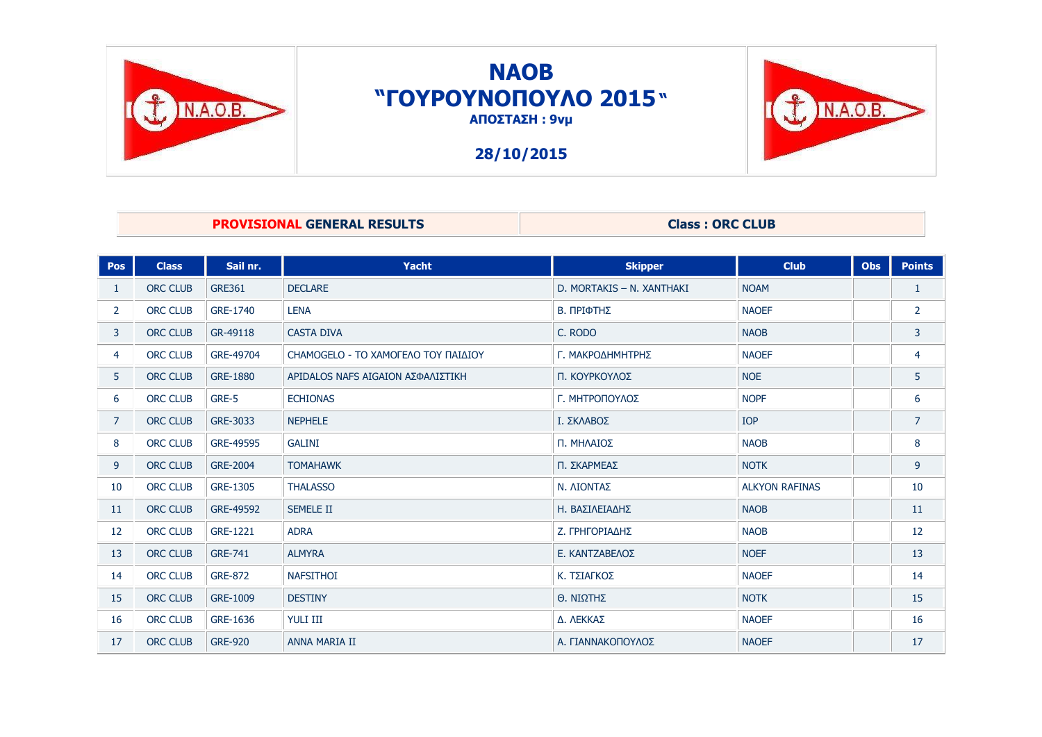

## **NAOB "ΓΟΤΡΟΤΝΟΠΟΤΛΟ 2015" ΑΠΟΣΤΑΣΗ : 9νμ**

**28/10/2015**



### **PROVISIONAL GENERAL RESULTS Class : ORC CLUB**

| <b>Pos</b>     | <b>Class</b>    | Sail nr.       | <b>Yacht</b>                        | <b>Skipper</b>            | <b>Club</b>           | <b>Obs</b> | <b>Points</b>  |
|----------------|-----------------|----------------|-------------------------------------|---------------------------|-----------------------|------------|----------------|
| $\mathbf{1}$   | <b>ORC CLUB</b> | <b>GRE361</b>  | <b>DECLARE</b>                      | D. MORTAKIS - N. XANTHAKI | <b>NOAM</b>           |            | $\mathbf{1}$   |
| $\overline{2}$ | <b>ORC CLUB</b> | GRE-1740       | <b>LENA</b>                         | Β. ΠΡΙΦΤΗΣ                | <b>NAOEF</b>          |            | $\overline{2}$ |
| $\mathbf{3}$   | <b>ORC CLUB</b> | GR-49118       | <b>CASTA DIVA</b>                   | C. RODO                   | <b>NAOB</b>           |            | 3              |
| 4              | <b>ORC CLUB</b> | GRE-49704      | CHAMOGELO - ΤΟ ΧΑΜΟΓΕΛΟ ΤΟΥ ΠΑΙΔΙΟΥ | Γ. ΜΑΚΡΟΔΗΜΗΤΡΗΣ          | <b>NAOEF</b>          |            | $\overline{4}$ |
| 5 <sup>1</sup> | <b>ORC CLUB</b> | GRE-1880       | ΑΡΙDALOS NAFS AIGAION ΑΣΦΑΛΙΣΤΙΚΗ   | Π. ΚΟΥΡΚΟΥΛΟΣ             | <b>NOE</b>            |            | 5              |
| 6              | ORC CLUB        | GRE-5          | <b>ECHIONAS</b>                     | Γ. ΜΗΤΡΟΠΟΥΛΟΣ            | <b>NOPF</b>           |            | 6              |
| $\overline{7}$ | <b>ORC CLUB</b> | GRE-3033       | <b>NEPHELE</b>                      | Ι. ΣΚΛΑΒΟΣ                | <b>IOP</b>            |            | $\overline{7}$ |
| 8              | <b>ORC CLUB</b> | GRE-49595      | <b>GALINI</b>                       | Π. ΜΗΛΑΙΟΣ                | <b>NAOB</b>           |            | 8              |
| 9              | <b>ORC CLUB</b> | GRE-2004       | <b>TOMAHAWK</b>                     | Π. ΣΚΑΡΜΕΑΣ               | <b>NOTK</b>           |            | 9              |
| 10             | ORC CLUB        | GRE-1305       | <b>THALASSO</b>                     | Ν. ΛΙΟΝΤΑΣ                | <b>ALKYON RAFINAS</b> |            | 10             |
| 11             | ORC CLUB        | GRE-49592      | <b>SEMELE II</b>                    | Η. ΒΑΣΙΛΕΙΑΔΗΣ            | <b>NAOB</b>           |            | 11             |
| 12             | <b>ORC CLUB</b> | GRE-1221       | <b>ADRA</b>                         | Ζ. ΓΡΗΓΟΡΙΑΔΗΣ            | <b>NAOB</b>           |            | 12             |
| 13             | ORC CLUB        | <b>GRE-741</b> | <b>ALMYRA</b>                       | Ε. ΚΑΝΤΖΑΒΕΛΟΣ            | <b>NOEF</b>           |            | 13             |
| 14             | ORC CLUB        | <b>GRE-872</b> | <b>NAFSITHOI</b>                    | Κ. ΤΣΙΑΓΚΟΣ               | <b>NAOEF</b>          |            | 14             |
| 15             | ORC CLUB        | GRE-1009       | <b>DESTINY</b>                      | Θ. ΝΙΩΤΗΣ                 | <b>NOTK</b>           |            | 15             |
| 16             | ORC CLUB        | GRE-1636       | <b>YULI III</b>                     | Δ. ΛΕΚΚΑΣ                 | <b>NAOEF</b>          |            | 16             |
| 17             | <b>ORC CLUB</b> | <b>GRE-920</b> | <b>ANNA MARIA II</b>                | Α. ΓΙΑΝΝΑΚΟΠΟΥΛΟΣ         | <b>NAOEF</b>          |            | 17             |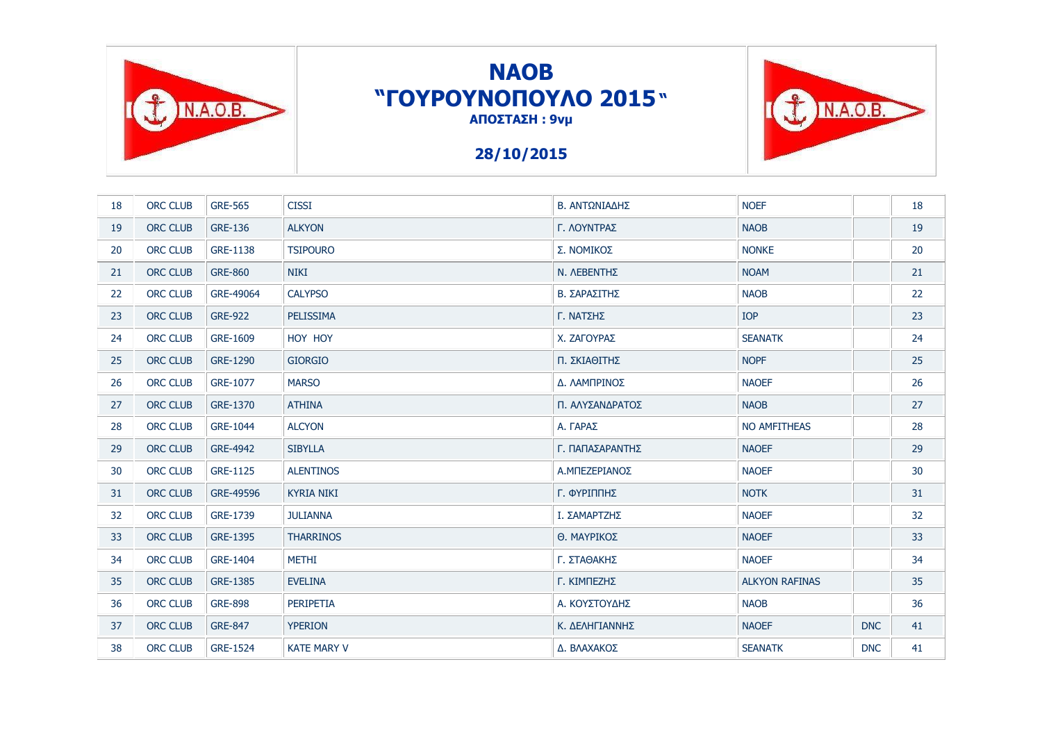

# **NAOB "ΓΟΤΡΟΤΝΟΠΟΤΛΟ 2015" ΑΠΟΣΤΑΣΗ: 9νμ**

TINAOB.

### **28/10/2015**